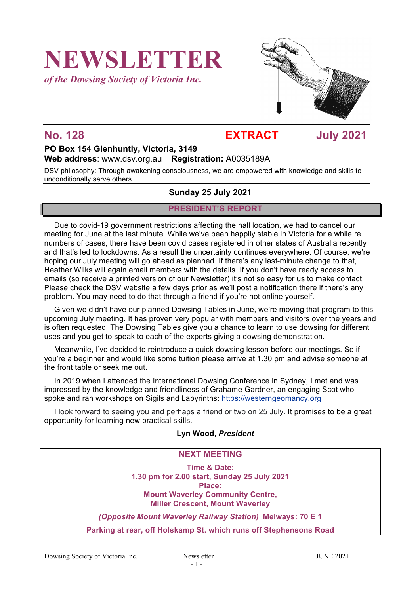# **NEWSLETTER**

*of the Dowsing Society of Victoria Inc.*



### **No. 128 EXTRACT July 2021**

#### **PO Box 154 Glenhuntly, Victoria, 3149 Web address**: www.dsv.org.au **Registration:** A0035189A

DSV philosophy: Through awakening consciousness, we are empowered with knowledge and skills to unconditionally serve others

#### **Sunday 25 July 2021**

#### **PRESIDENT'S REPORT**

Due to covid-19 government restrictions affecting the hall location, we had to cancel our meeting for June at the last minute. While we've been happily stable in Victoria for a while re numbers of cases, there have been covid cases registered in other states of Australia recently and that's led to lockdowns. As a result the uncertainty continues everywhere. Of course, we're hoping our July meeting will go ahead as planned. If there's any last-minute change to that, Heather Wilks will again email members with the details. If you don't have ready access to emails (so receive a printed version of our Newsletter) it's not so easy for us to make contact. Please check the DSV website a few days prior as we'll post a notification there if there's any problem. You may need to do that through a friend if you're not online yourself.

Given we didn't have our planned Dowsing Tables in June, we're moving that program to this upcoming July meeting. It has proven very popular with members and visitors over the years and is often requested. The Dowsing Tables give you a chance to learn to use dowsing for different uses and you get to speak to each of the experts giving a dowsing demonstration.

Meanwhile, I've decided to reintroduce a quick dowsing lesson before our meetings. So if you're a beginner and would like some tuition please arrive at 1.30 pm and advise someone at the front table or seek me out.

In 2019 when I attended the International Dowsing Conference in Sydney, I met and was impressed by the knowledge and friendliness of Grahame Gardner, an engaging Scot who spoke and ran workshops on Sigils and Labyrinths: https://westerngeomancy.org

I look forward to seeing you and perhaps a friend or two on 25 July. It promises to be a great opportunity for learning new practical skills.

#### **Lyn Wood,** *President*

#### **NEXT MEETING**

**Time & Date: 1.30 pm for 2.00 start, Sunday 25 July 2021 Place: Mount Waverley Community Centre, Miller Crescent, Mount Waverley**

*(Opposite Mount Waverley Railway Station)* **Melways: 70 E 1**

**Parking at rear, off Holskamp St. which runs off Stephensons Road**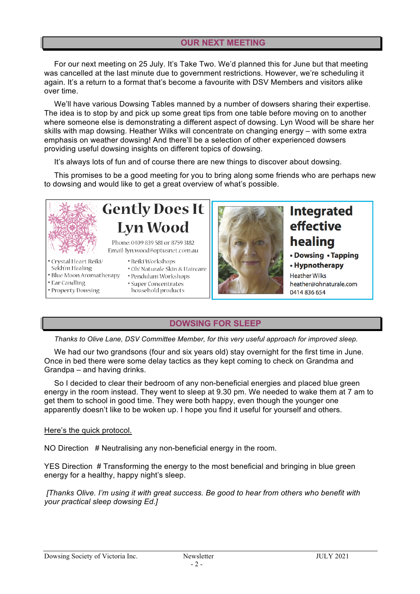#### **OUR NEXT MEETING**

For our next meeting on 25 July. It's Take Two. We'd planned this for June but that meeting was cancelled at the last minute due to government restrictions. However, we're scheduling it again. It's a return to a format that's become a favourite with DSV Members and visitors alike over time.

We'll have various Dowsing Tables manned by a number of dowsers sharing their expertise. The idea is to stop by and pick up some great tips from one table before moving on to another where someone else is demonstrating a different aspect of dowsing. Lyn Wood will be share her skills with map dowsing. Heather Wilks will concentrate on changing energy – with some extra emphasis on weather dowsing! And there'll be a selection of other experienced dowsers providing useful dowsing insights on different topics of dowsing.

It's always lots of fun and of course there are new things to discover about dowsing.

This promises to be a good meeting for you to bring along some friends who are perhaps new to dowsing and would like to get a great overview of what's possible.



# **Gently Does It Lyn Wood**

Phone: 0409 839 581 or 8759 3182 Email: lyn.wood@optusnet.com.au

· Reiki Workshops

- · Crystal Heart Reiki/
- Sekh'm Healing
- · Blue Moon Aromatherapy
- Ear Candling
- · Property Dowsing
- · Oh! Naturale Skin & Haircare
- · Pendulum Workshops
- Super Concentrates household products



## **Integrated** effective healing

- Dowsing Tapping
- Hypnotherapy

**Heather Wilks** heather@ohnaturale.com 0414836654

### **DOWSING FOR SLEEP**

*Thanks to Olive Lane, DSV Committee Member, for this very useful approach for improved sleep.*

We had our two grandsons (four and six years old) stay overnight for the first time in June. Once in bed there were some delay tactics as they kept coming to check on Grandma and Grandpa – and having drinks.

So I decided to clear their bedroom of any non-beneficial energies and placed blue green energy in the room instead. They went to sleep at 9.30 pm. We needed to wake them at 7 am to get them to school in good time. They were both happy, even though the younger one apparently doesn't like to be woken up. I hope you find it useful for yourself and others.

#### Here's the quick protocol.

NO Direction # Neutralising any non-beneficial energy in the room.

YES Direction # Transforming the energy to the most beneficial and bringing in blue green energy for a healthy, happy night's sleep.

*[Thanks Olive. I'm using it with great success. Be good to hear from others who benefit with your practical sleep dowsing Ed.]*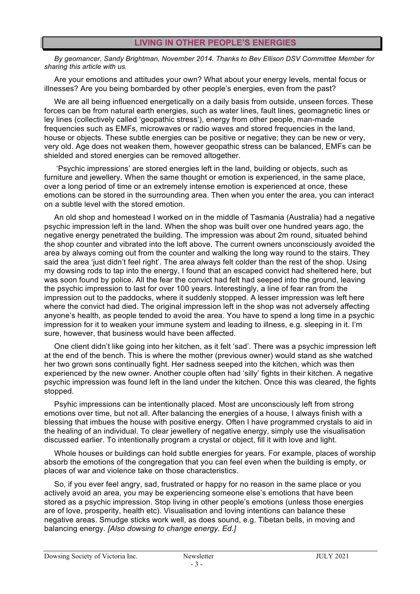*By geomancer, Sandy Brightman, November 2014. Thanks to Bev Ellison DSV Committee Member for sharing this article with us.*

Are your emotions and attitudes your own? What about your energy levels, mental focus or illnesses? Are you being bombarded by other people's energies, even from the past?

We are all being influenced energetically on a daily basis from outside, unseen forces. These forces can be from natural earth energies, such as water lines, fault lines, geomagnetic lines or ley lines (collectively called 'geopathic stress'), energy from other people, man-made frequencies such as EMFs, microwaves or radio waves and stored frequencies in the land, house or objects. These subtle energies can be positive or negative; they can be new or very, very old. Age does not weaken them, however geopathic stress can be balanced, EMFs can be shielded and stored energies can be removed altogether.

'Psychic impressions' are stored energies left in the land, building or objects, such as furniture and jewellery. When the same thought or emotion is experienced, in the same place, over a long period of time or an extremely intense emotion is experienced at once, these emotions can be stored in the surrounding area. Then when you enter the area, you can interact on a subtle level with the stored emotion.

An old shop and homestead I worked on in the middle of Tasmania (Australia) had a negative psychic impression left in the land. When the shop was built over one hundred years ago, the negative energy penetrated the building. The impression was about 2m round, situated behind the shop counter and vibrated into the loft above. The current owners unconsciously avoided the area by always coming out from the counter and walking the long way round to the stairs. They said the area 'just didn't feel right'. The area always felt colder than the rest of the shop. Using my dowsing rods to tap into the energy, I found that an escaped convict had sheltered here, but was soon found by police. All the fear the convict had felt had seeped into the ground, leaving the psychic impression to last for over 100 years. Interestingly, a line of fear ran from the impression out to the paddocks, where it suddenly stopped. A lesser impression was left here where the convict had died. The original impression left in the shop was not adversely affecting anyone's health, as people tended to avoid the area. You have to spend a long time in a psychic impression for it to weaken your immune system and leading to illness, e.g. sleeping in it. I'm sure, however, that business would have been affected.

One client didn't like going into her kitchen, as it felt 'sad'. There was a psychic impression left at the end of the bench. This is where the mother (previous owner) would stand as she watched her two grown sons continually fight. Her sadness seeped into the kitchen, which was then experienced by the new owner. Another couple often had 'silly' fights in their kitchen. A negative psychic impression was found left in the land under the kitchen. Once this was cleared, the fights stopped.

Psyhic impressions can be intentionally placed. Most are unconsciously left from strong emotions over time, but not all. After balancing the energies of a house, I always finish with a blessing that imbues the house with positive energy. Often I have programmed crystals to aid in the healing of an individual. To clear jewellery of negative energy, simply use the visualisation discussed earlier. To intentionally program a crystal or object, fill it with love and light.

Whole houses or buildings can hold subtle energies for years. For example, places of worship absorb the emotions of the congregation that you can feel even when the building is empty, or places of war and violence take on those characteristics.

So, if you ever feel angry, sad, frustrated or happy for no reason in the same place or you actively avoid an area, you may be experiencing someone else's emotions that have been stored as a psychic impression. Stop living in other people's emotions (unless those energies are of love, prosperity, health etc). Visualisation and loving intentions can balance these negative areas. Smudge sticks work well, as does sound, e.g. Tibetan bells, in moving and balancing energy. *[Also dowsing to change energy. Ed.]*